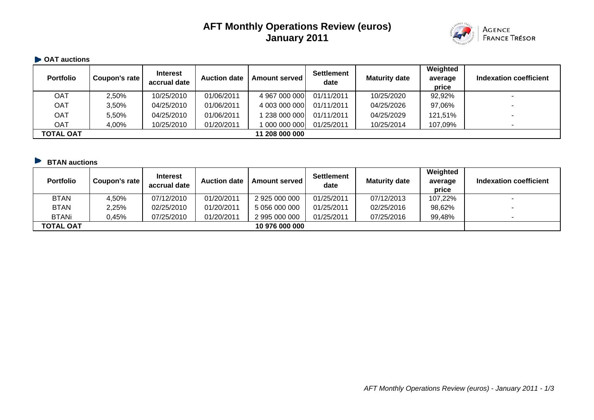# **AFT Monthly Operations Review (euros) January 2011**



#### **• OAT auctions**

| <b>Portfolio</b> | Coupon's rate | <b>Interest</b><br>accrual date | <b>Auction date</b> | <b>Amount served I</b> | <b>Settlement</b><br>date | <b>Maturity date</b> | Weighted<br>average<br>price | Indexation coefficient |
|------------------|---------------|---------------------------------|---------------------|------------------------|---------------------------|----------------------|------------------------------|------------------------|
| OAT              | 2,50%         | 10/25/2010                      | 01/06/2011          | 4 967 000 000          | 01/11/2011                | 10/25/2020           | 92,92%                       |                        |
| OAT              | 3,50%         | 04/25/2010                      | 01/06/2011          | 4 003 000 000          | 01/11/2011                | 04/25/2026           | 97,06%                       | -                      |
| <b>OAT</b>       | 5,50%         | 04/25/2010                      | 01/06/2011          | 238 000 000            | 01/11/2011                | 04/25/2029           | 121,51%                      |                        |
| <b>OAT</b>       | 4,00%         | 10/25/2010                      | 01/20/2011          | 000 000 000            | 01/25/2011                | 10/25/2014           | 107,09%                      |                        |
| <b>TOTAL OAT</b> |               |                                 |                     | 11 208 000 000         |                           |                      |                              |                        |

## **BTAN auctions**

| <b>Portfolio</b> | Coupon's rate | <b>Interest</b><br>accrual date | <b>Auction date</b> | <b>Amount served</b> | <b>Settlement</b><br>date | <b>Maturity date</b> | Weighted<br>average<br>price | Indexation coefficient |
|------------------|---------------|---------------------------------|---------------------|----------------------|---------------------------|----------------------|------------------------------|------------------------|
| <b>BTAN</b>      | 4,50%         | 07/12/2010                      | 01/20/2011          | 2 925 000 000        | 01/25/2011                | 07/12/2013           | 107,22%                      |                        |
| <b>BTAN</b>      | 2,25%         | 02/25/2010                      | 01/20/2011          | 5 056 000 000        | 01/25/2011                | 02/25/2016           | 98,62%                       |                        |
| <b>BTANi</b>     | 0,45%         | 07/25/2010                      | 01/20/2011          | 2 995 000 000        | 01/25/2011                | 07/25/2016           | 99,48%                       |                        |
| <b>TOTAL OAT</b> |               |                                 |                     | 10 976 000 000       |                           |                      |                              |                        |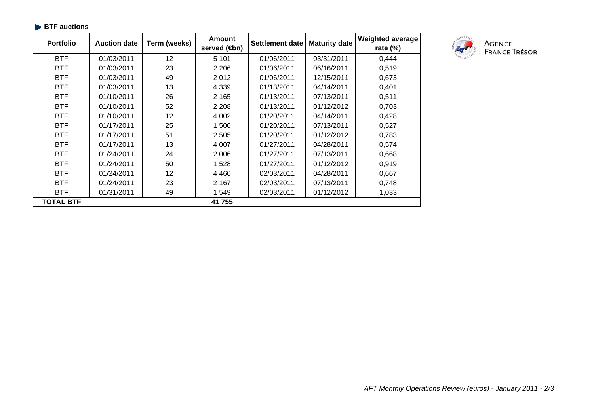| <b>Portfolio</b> | <b>Auction date</b> | Term (weeks) | <b>Amount</b><br>served ( <b>4</b> bn) | <b>Settlement date</b> | <b>Maturity date</b> | <b>Weighted average</b><br>rate (%) |
|------------------|---------------------|--------------|----------------------------------------|------------------------|----------------------|-------------------------------------|
| <b>BTF</b>       | 01/03/2011          | 12           | 5 1 0 1                                | 01/06/2011             | 03/31/2011           | 0,444                               |
| <b>BTF</b>       | 01/03/2011          | 23           | 2 2 0 6                                | 01/06/2011             | 06/16/2011           | 0,519                               |
| <b>BTF</b>       | 01/03/2011          | 49           | 2012                                   | 01/06/2011             | 12/15/2011           | 0,673                               |
| <b>BTF</b>       | 01/03/2011          | 13           | 4 3 3 9                                | 01/13/2011             | 04/14/2011           | 0,401                               |
| <b>BTF</b>       | 01/10/2011          | 26           | 2 1 6 5                                | 01/13/2011             | 07/13/2011           | 0,511                               |
| <b>BTF</b>       | 01/10/2011          | 52           | 2 2 0 8                                | 01/13/2011             | 01/12/2012           | 0,703                               |
| <b>BTF</b>       | 01/10/2011          | 12           | 4 0 0 2                                | 01/20/2011             | 04/14/2011           | 0,428                               |
| <b>BTF</b>       | 01/17/2011          | 25           | 1 500                                  | 01/20/2011             | 07/13/2011           | 0,527                               |
| <b>BTF</b>       | 01/17/2011          | 51           | 2 5 0 5                                | 01/20/2011             | 01/12/2012           | 0,783                               |
| <b>BTF</b>       | 01/17/2011          | 13           | 4 0 0 7                                | 01/27/2011             | 04/28/2011           | 0,574                               |
| <b>BTF</b>       | 01/24/2011          | 24           | 2 0 0 6                                | 01/27/2011             | 07/13/2011           | 0,668                               |
| <b>BTF</b>       | 01/24/2011          | 50           | 1 5 2 8                                | 01/27/2011             | 01/12/2012           | 0,919                               |
| <b>BTF</b>       | 01/24/2011          | 12           | 4 4 6 0                                | 02/03/2011             | 04/28/2011           | 0,667                               |
| <b>BTF</b>       | 01/24/2011          | 23           | 2 1 6 7                                | 02/03/2011             | 07/13/2011           | 0,748                               |
| <b>BTF</b>       | 01/31/2011          | 49           | 1 549                                  | 02/03/2011             | 01/12/2012           | 1,033                               |
| TOTAL BTF        |                     |              | 41 755                                 |                        |                      |                                     |